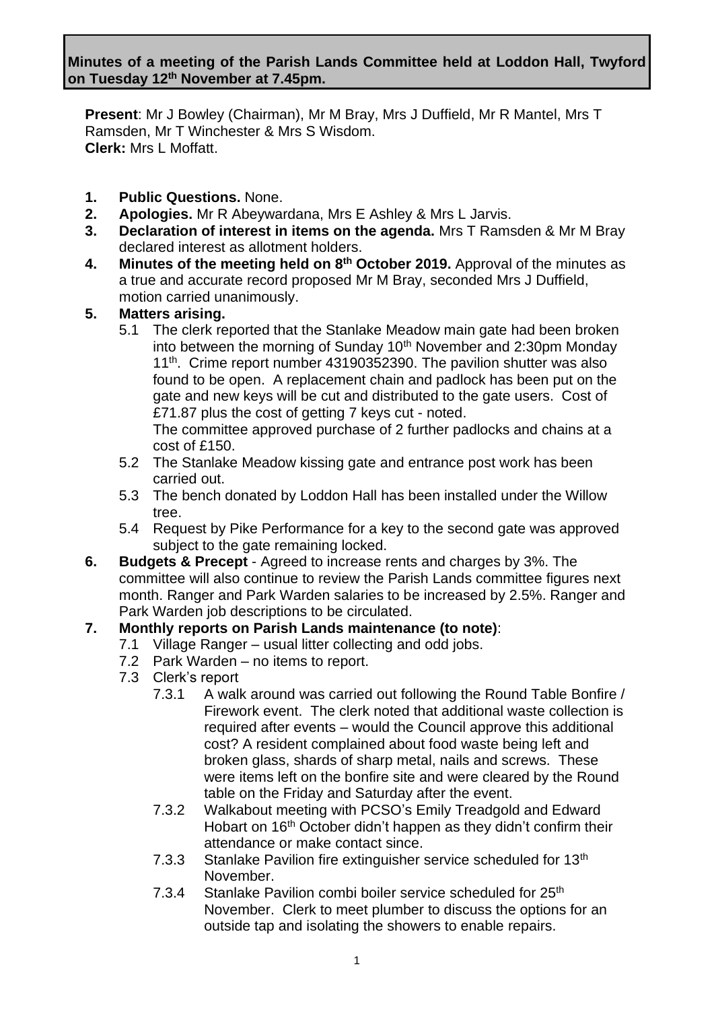**Present**: Mr J Bowley (Chairman), Mr M Bray, Mrs J Duffield, Mr R Mantel, Mrs T Ramsden, Mr T Winchester & Mrs S Wisdom. **Clerk:** Mrs L Moffatt.

- **1. Public Questions.** None.
- **2. Apologies.** Mr R Abeywardana, Mrs E Ashley & Mrs L Jarvis.
- **3. Declaration of interest in items on the agenda.** Mrs T Ramsden & Mr M Bray declared interest as allotment holders.
- **4. Minutes of the meeting held on 8 th October 2019.** Approval of the minutes as a true and accurate record proposed Mr M Bray, seconded Mrs J Duffield, motion carried unanimously.

### **5. Matters arising.**

5.1 The clerk reported that the Stanlake Meadow main gate had been broken into between the morning of Sunday  $10<sup>th</sup>$  November and 2:30pm Monday 11<sup>th</sup>. Crime report number 43190352390. The pavilion shutter was also found to be open. A replacement chain and padlock has been put on the gate and new keys will be cut and distributed to the gate users. Cost of £71.87 plus the cost of getting 7 keys cut - noted.

The committee approved purchase of 2 further padlocks and chains at a cost of £150.

- 5.2 The Stanlake Meadow kissing gate and entrance post work has been carried out.
- 5.3 The bench donated by Loddon Hall has been installed under the Willow tree.
- 5.4 Request by Pike Performance for a key to the second gate was approved subject to the gate remaining locked.
- **6. Budgets & Precept** Agreed to increase rents and charges by 3%. The committee will also continue to review the Parish Lands committee figures next month. Ranger and Park Warden salaries to be increased by 2.5%. Ranger and Park Warden job descriptions to be circulated.

### **7. Monthly reports on Parish Lands maintenance (to note)**:

- 7.1 Village Ranger usual litter collecting and odd jobs.
	- 7.2 Park Warden no items to report.
	- 7.3 Clerk's report
		- 7.3.1 A walk around was carried out following the Round Table Bonfire / Firework event. The clerk noted that additional waste collection is required after events – would the Council approve this additional cost? A resident complained about food waste being left and broken glass, shards of sharp metal, nails and screws. These were items left on the bonfire site and were cleared by the Round table on the Friday and Saturday after the event.
		- 7.3.2 Walkabout meeting with PCSO's Emily Treadgold and Edward Hobart on 16<sup>th</sup> October didn't happen as they didn't confirm their attendance or make contact since.
		- 7.3.3 Stanlake Pavilion fire extinguisher service scheduled for 13<sup>th</sup> November.
		- 7.3.4 Stanlake Pavilion combi boiler service scheduled for 25<sup>th</sup> November. Clerk to meet plumber to discuss the options for an outside tap and isolating the showers to enable repairs.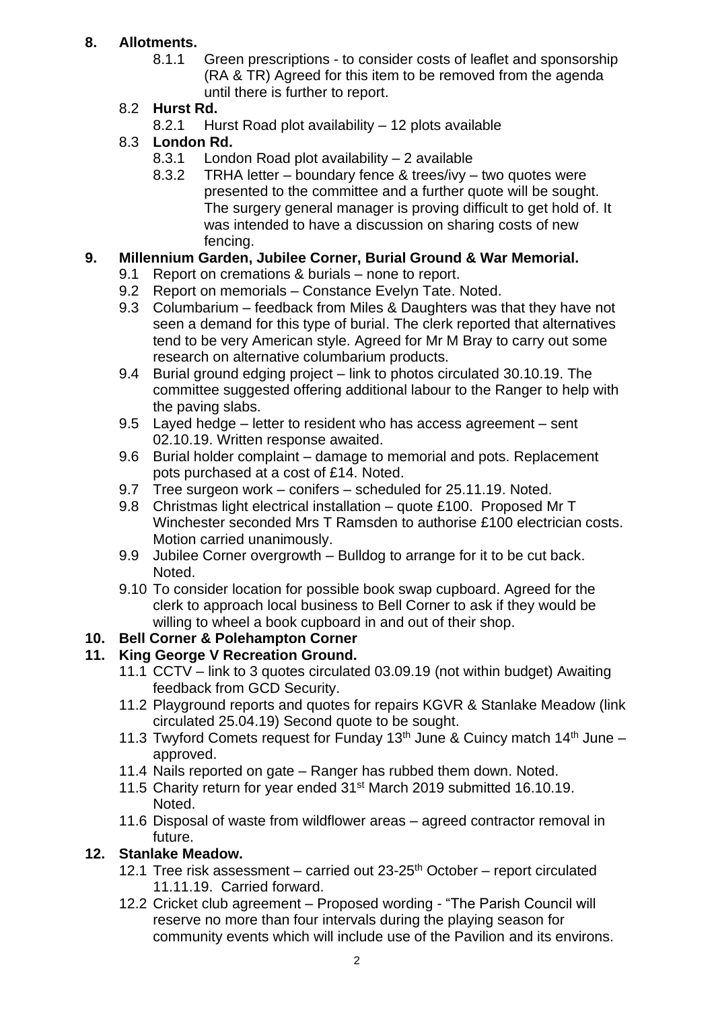# **8. Allotments.**

8.1.1 Green prescriptions - to consider costs of leaflet and sponsorship (RA & TR) Agreed for this item to be removed from the agenda until there is further to report.

## 8.2 **Hurst Rd.**

8.2.1 Hurst Road plot availability – 12 plots available

## 8.3 **London Rd.**

- 8.3.1 London Road plot availability 2 available
- 8.3.2 TRHA letter boundary fence & trees/ivy two quotes were presented to the committee and a further quote will be sought. The surgery general manager is proving difficult to get hold of. It was intended to have a discussion on sharing costs of new fencing.

## **9. Millennium Garden, Jubilee Corner, Burial Ground & War Memorial.**

- 9.1 Report on cremations & burials none to report.
- 9.2 Report on memorials Constance Evelyn Tate. Noted.
- 9.3 Columbarium feedback from Miles & Daughters was that they have not seen a demand for this type of burial. The clerk reported that alternatives tend to be very American style. Agreed for Mr M Bray to carry out some research on alternative columbarium products.
- 9.4 Burial ground edging project link to photos circulated 30.10.19. The committee suggested offering additional labour to the Ranger to help with the paving slabs.
- 9.5 Layed hedge letter to resident who has access agreement sent 02.10.19. Written response awaited.
- 9.6 Burial holder complaint damage to memorial and pots. Replacement pots purchased at a cost of £14. Noted.
- 9.7 Tree surgeon work conifers scheduled for 25.11.19. Noted.
- 9.8 Christmas light electrical installation quote £100. Proposed Mr T Winchester seconded Mrs T Ramsden to authorise £100 electrician costs. Motion carried unanimously.
- 9.9 Jubilee Corner overgrowth Bulldog to arrange for it to be cut back. Noted.
- 9.10 To consider location for possible book swap cupboard. Agreed for the clerk to approach local business to Bell Corner to ask if they would be willing to wheel a book cupboard in and out of their shop.

# **10. Bell Corner & Polehampton Corner**

### **11. King George V Recreation Ground.**

- 11.1 CCTV link to 3 quotes circulated 03.09.19 (not within budget) Awaiting feedback from GCD Security.
- 11.2 Playground reports and quotes for repairs KGVR & Stanlake Meadow (link circulated 25.04.19) Second quote to be sought.
- 11.3 Twyford Comets request for Funday 13<sup>th</sup> June & Cuincy match 14<sup>th</sup> June approved.
- 11.4 Nails reported on gate Ranger has rubbed them down. Noted.
- 11.5 Charity return for year ended 31<sup>st</sup> March 2019 submitted 16.10.19. Noted.
- 11.6 Disposal of waste from wildflower areas agreed contractor removal in future.

# **12. Stanlake Meadow.**

- 12.1 Tree risk assessment carried out  $23-25$ <sup>th</sup> October report circulated 11.11.19. Carried forward.
- 12.2 Cricket club agreement Proposed wording "The Parish Council will reserve no more than four intervals during the playing season for community events which will include use of the Pavilion and its environs.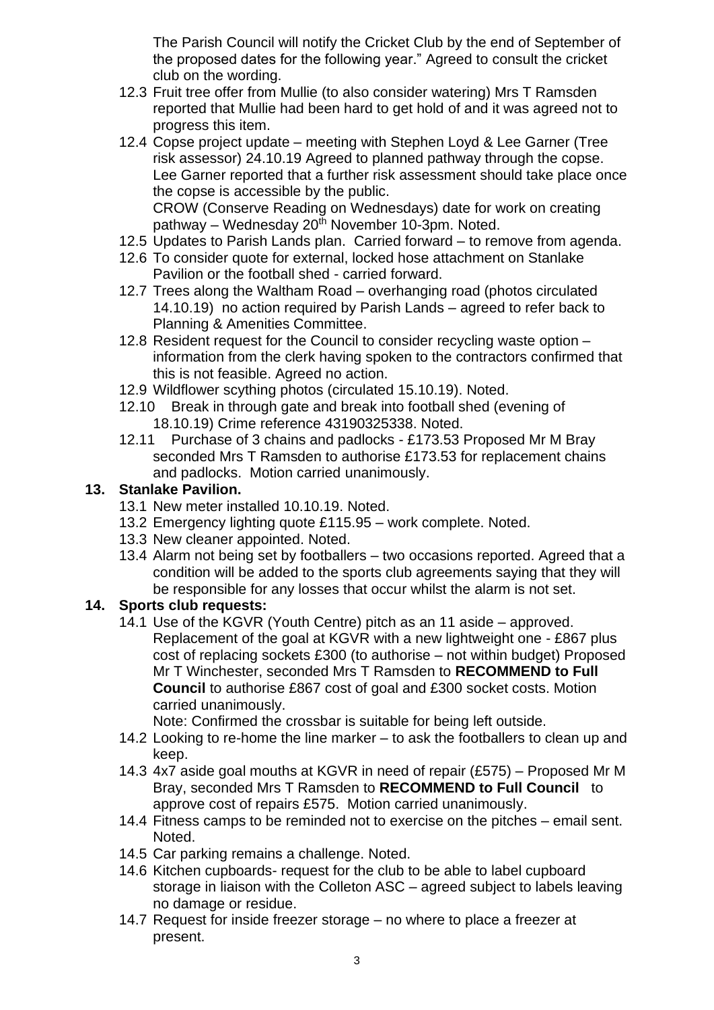The Parish Council will notify the Cricket Club by the end of September of the proposed dates for the following year." Agreed to consult the cricket club on the wording.

- 12.3 Fruit tree offer from Mullie (to also consider watering) Mrs T Ramsden reported that Mullie had been hard to get hold of and it was agreed not to progress this item.
- 12.4 Copse project update meeting with Stephen Loyd & Lee Garner (Tree risk assessor) 24.10.19 Agreed to planned pathway through the copse. Lee Garner reported that a further risk assessment should take place once the copse is accessible by the public. CROW (Conserve Reading on Wednesdays) date for work on creating pathway – Wednesday  $20<sup>th</sup>$  November 10-3pm. Noted.
- 12.5 Updates to Parish Lands plan. Carried forward to remove from agenda.
- 12.6 To consider quote for external, locked hose attachment on Stanlake Pavilion or the football shed - carried forward.
- 12.7 Trees along the Waltham Road overhanging road (photos circulated 14.10.19) no action required by Parish Lands – agreed to refer back to Planning & Amenities Committee.
- 12.8 Resident request for the Council to consider recycling waste option information from the clerk having spoken to the contractors confirmed that this is not feasible. Agreed no action.
- 12.9 Wildflower scything photos (circulated 15.10.19). Noted.
- 12.10 Break in through gate and break into football shed (evening of 18.10.19) Crime reference 43190325338. Noted.
- 12.11 Purchase of 3 chains and padlocks £173.53 Proposed Mr M Bray seconded Mrs T Ramsden to authorise £173.53 for replacement chains and padlocks. Motion carried unanimously.

### **13. Stanlake Pavilion.**

- 13.1 New meter installed 10.10.19. Noted.
- 13.2 Emergency lighting quote £115.95 work complete. Noted.
- 13.3 New cleaner appointed. Noted.
- 13.4 Alarm not being set by footballers two occasions reported. Agreed that a condition will be added to the sports club agreements saying that they will be responsible for any losses that occur whilst the alarm is not set.

#### **14. Sports club requests:**

14.1 Use of the KGVR (Youth Centre) pitch as an 11 aside – approved. Replacement of the goal at KGVR with a new lightweight one - £867 plus cost of replacing sockets £300 (to authorise – not within budget) Proposed Mr T Winchester, seconded Mrs T Ramsden to **RECOMMEND to Full Council** to authorise £867 cost of goal and £300 socket costs. Motion carried unanimously.

Note: Confirmed the crossbar is suitable for being left outside.

- 14.2 Looking to re-home the line marker to ask the footballers to clean up and keep.
- 14.3 4x7 aside goal mouths at KGVR in need of repair (£575) Proposed Mr M Bray, seconded Mrs T Ramsden to **RECOMMEND to Full Council** to approve cost of repairs £575. Motion carried unanimously.
- 14.4 Fitness camps to be reminded not to exercise on the pitches email sent. Noted.
- 14.5 Car parking remains a challenge. Noted.
- 14.6 Kitchen cupboards- request for the club to be able to label cupboard storage in liaison with the Colleton ASC – agreed subject to labels leaving no damage or residue.
- 14.7 Request for inside freezer storage no where to place a freezer at present.